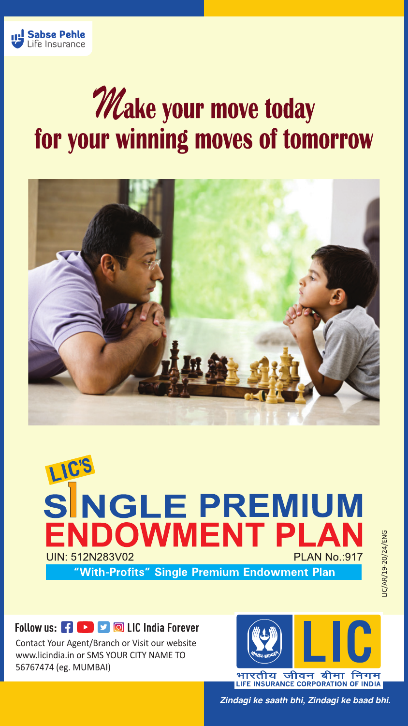

# **Make your move today** for your winning moves of tomorrow





## Follow us: FILE TO LIC India Forever

Contact Your Agent/Branch or Visit our website www.licindia.in or SMS YOUR CITY NAME TO 56767474 (eg. MUMBAI)



*Zindagi ke saath bhi, Zindagi ke baad bhi.*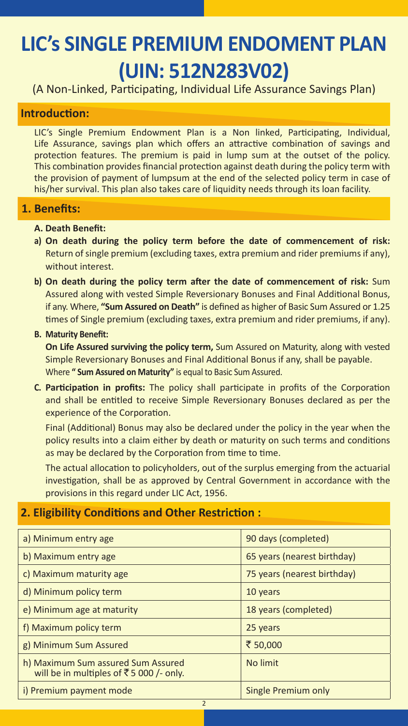## **LIC's SINGLE PREMIUM ENDOMENT PLAN (UIN: 512N283V02)**

(A Non-Linked, Participating, Individual Life Assurance Savings Plan)

## **Introduction:**

LIC's Single Premium Endowment Plan is a Non linked, Participating, Individual, Life Assurance, savings plan which offers an attractive combination of savings and protection features. The premium is paid in lump sum at the outset of the policy. This combination provides financial protection against death during the policy term with the provision of payment of lumpsum at the end of the selected policy term in case of his/her survival. This plan also takes care of liquidity needs through its loan facility.

## **1. Benefits:**

### **A. Death Benefit:**

- **a) On death during the policy term before the date of commencement of risk:** Return of single premium (excluding taxes, extra premium and rider premiums if any), without interest.
- **b) On death during the policy term after the date of commencement of risk:** Sum Assured along with vested Simple Reversionary Bonuses and Final Additional Bonus, if any. Where, **"Sum Assured on Death"** is defined as higher of Basic Sum Assured or 1.25 times of Single premium (excluding taxes, extra premium and rider premiums, if any).

#### **B. Maturity Benefit:**

 **On Life Assured surviving the policy term,** Sum Assured on Maturity, along with vested Simple Reversionary Bonuses and Final Additional Bonus if any, shall be payable. Where **" Sum Assured on Maturity"** is equal to Basic Sum Assured.

**C. Participation in profits:** The policy shall participate in profits of the Corporation and shall be entitled to receive Simple Reversionary Bonuses declared as per the experience of the Corporation.

Final (Additional) Bonus may also be declared under the policy in the year when the policy results into a claim either by death or maturity on such terms and conditions as may be declared by the Corporation from time to time.

The actual allocation to policyholders, out of the surplus emerging from the actuarial investigation, shall be as approved by Central Government in accordance with the provisions in this regard under LIC Act, 1956.

## **2. Eligibility Conditions and Other Restriction :**

| a) Minimum entry age                                                          | 90 days (completed)         |
|-------------------------------------------------------------------------------|-----------------------------|
| b) Maximum entry age                                                          | 65 years (nearest birthday) |
| c) Maximum maturity age                                                       | 75 years (nearest birthday) |
| d) Minimum policy term                                                        | 10 years                    |
| e) Minimum age at maturity                                                    | 18 years (completed)        |
| f) Maximum policy term                                                        | 25 years                    |
| g) Minimum Sum Assured                                                        | ₹ 50,000                    |
| h) Maximum Sum assured Sum Assured<br>will be in multiples of ₹5 000 /- only. | No limit                    |
| i) Premium payment mode                                                       | Single Premium only         |
| $\overline{2}$                                                                |                             |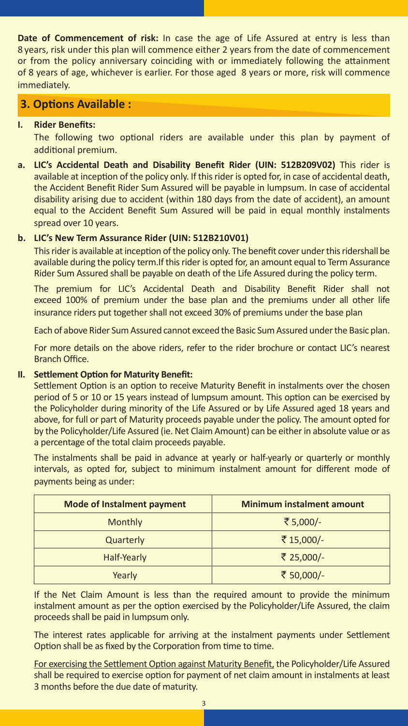**Date of Commencement of risk:** In case the age of Life Assured at entry is less than 8 years, risk under this plan will commence either 2 years from the date of commencement or from the policy anniversary coinciding with or immediately following the attainment of 8 years of age, whichever is earlier. For those aged 8 years or more, risk will commence immediately.

## **3. Options Available :**

### **I. Rider Benefits:**

 The following two optional riders are available under this plan by payment of additional premium.

**a. LIC's Accidental Death and Disability Benefit Rider (UIN: 512B209V02)** This rider is available at inception of the policy only. If this rider is opted for, in case of accidental death, the Accident Benefit Rider Sum Assured will be payable in lumpsum. In case of accidental disability arising due to accident (within 180 days from the date of accident), an amount equal to the Accident Benefit Sum Assured will be paid in equal monthly instalments spread over 10 years.

### **b. LIC's New Term Assurance Rider (UIN: 512B210V01)**

 This rider is available at inception of the policy only. The benefit cover under this ridershall be available during the policy term.If this rider is opted for, an amount equal to Term Assurance Rider Sum Assured shall be payable on death of the Life Assured during the policy term.

 The premium for LIC's Accidental Death and Disability Benefit Rider shall not exceed 100% of premium under the base plan and the premiums under all other life insurance riders put together shall not exceed 30% of premiums under the base plan

Each of above Rider Sum Assured cannot exceed the Basic Sum Assured under the Basic plan.

For more details on the above riders, refer to the rider brochure or contact LIC's nearest Branch Office.

### **II. Settlement Option for Maturity Benefit:**

Settlement Option is an option to receive Maturity Benefit in instalments over the chosen period of 5 or 10 or 15 years instead of lumpsum amount. This option can be exercised by the Policyholder during minority of the Life Assured or by Life Assured aged 18 years and above, for full or part of Maturity proceeds payable under the policy. The amount opted for by the Policyholder/Life Assured (ie. Net Claim Amount) can be either in absolute value or as a percentage of the total claim proceeds payable.

The instalments shall be paid in advance at yearly or half-yearly or quarterly or monthly intervals, as opted for, subject to minimum instalment amount for different mode of payments being as under:

| Mode of Instalment payment | <b>Minimum instalment amount</b> |  |  |  |  |
|----------------------------|----------------------------------|--|--|--|--|
| <b>Monthly</b>             | ₹ 5,000/-                        |  |  |  |  |
| Quarterly                  | ₹15,000/-                        |  |  |  |  |
| Half-Yearly                | ₹ 25,000/-                       |  |  |  |  |
| Yearly                     | ₹ 50,000/-                       |  |  |  |  |

If the Net Claim Amount is less than the required amount to provide the minimum instalment amount as per the option exercised by the Policyholder/Life Assured, the claim proceeds shall be paid in lumpsum only.

The interest rates applicable for arriving at the instalment payments under Settlement Option shall be as fixed by the Corporation from time to time.

 For exercising the Settlement Option against Maturity Benefit, the Policyholder/Life Assured shall be required to exercise option for payment of net claim amount in instalments at least 3 months before the due date of maturity.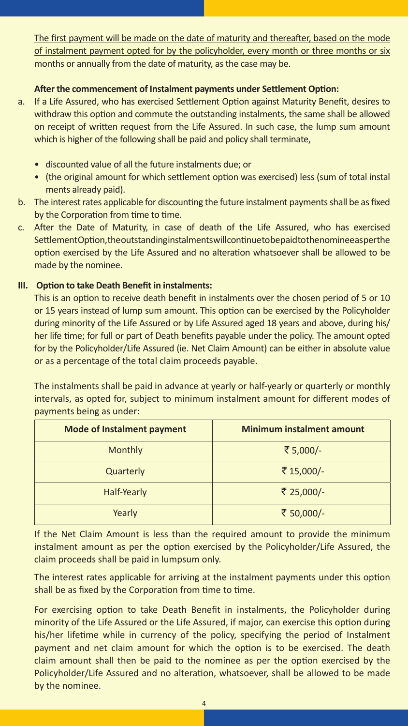The first payment will be made on the date of maturity and thereafter, based on the mode of instalment payment opted for by the policyholder, every month or three months or six months or annually from the date of maturity, as the case may be.

## **After the commencement of Instalment payments under Settlement Option:**

- a. If a Life Assured, who has exercised Settlement Option against Maturity Benefit, desires to withdraw this option and commute the outstanding instalments, the same shall be allowed on receipt of written request from the Life Assured. In such case, the lump sum amount which is higher of the following shall be paid and policy shall terminate,
	- discounted value of all the future instalments due; or
	- (the original amount for which settlement option was exercised) less (sum of total instal ments already paid).
- b. The interest rates applicable for discounting the future instalment payments shall be as fixed by the Corporation from time to time.
- c. After the Date of Maturity, in case of death of the Life Assured, who has exercised Settlement Option, the outstanding instalments will continue to be paid to the nomine easper the option exercised by the Life Assured and no alteration whatsoever shall be allowed to be made by the nominee.

### **III. Option to take Death Benefit in instalments:**

This is an option to receive death benefit in instalments over the chosen period of 5 or 10 or 15 years instead of lump sum amount. This option can be exercised by the Policyholder during minority of the Life Assured or by Life Assured aged 18 years and above, during his/ her life time; for full or part of Death benefits payable under the policy. The amount opted for by the Policyholder/Life Assured (ie. Net Claim Amount) can be either in absolute value or as a percentage of the total claim proceeds payable.

The instalments shall be paid in advance at yearly or half-yearly or quarterly or monthly intervals, as opted for, subject to minimum instalment amount for different modes of payments being as under:

| <b>Mode of Instalment payment</b> | <b>Minimum instalment amount</b> |
|-----------------------------------|----------------------------------|
| Monthly                           | ₹ 5,000/-                        |
| Quarterly                         | ₹15,000/-                        |
| Half-Yearly                       | ₹ 25,000/-                       |
| Yearly                            | ₹ 50,000/-                       |

If the Net Claim Amount is less than the required amount to provide the minimum instalment amount as per the option exercised by the Policyholder/Life Assured, the claim proceeds shall be paid in lumpsum only.

The interest rates applicable for arriving at the instalment payments under this option shall be as fixed by the Corporation from time to time.

For exercising option to take Death Benefit in instalments, the Policyholder during minority of the Life Assured or the Life Assured, if major, can exercise this option during his/her lifetime while in currency of the policy, specifying the period of Instalment payment and net claim amount for which the option is to be exercised. The death claim amount shall then be paid to the nominee as per the option exercised by the Policyholder/Life Assured and no alteration, whatsoever, shall be allowed to be made by the nominee.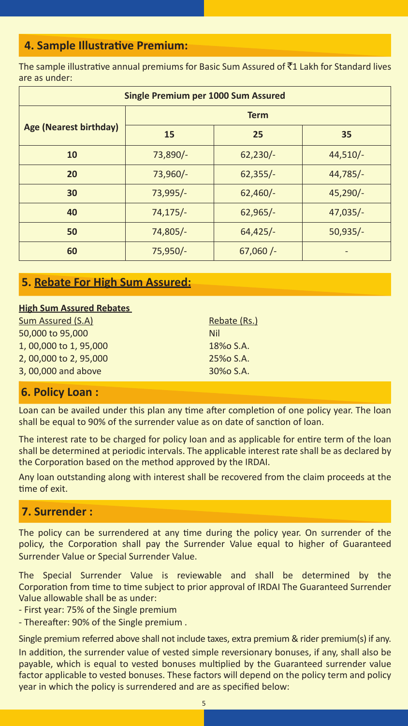## **4. Sample Illustrative Premium:**

The sample illustrative annual premiums for Basic Sum Assured of  $\bar{c}1$  Lakh for Standard lives are as under:

| Single Premium per 1000 Sum Assured |             |            |            |  |  |  |  |  |  |
|-------------------------------------|-------------|------------|------------|--|--|--|--|--|--|
|                                     | <b>Term</b> |            |            |  |  |  |  |  |  |
| Age (Nearest birthday)              | 15          | 25         | 35         |  |  |  |  |  |  |
| 10                                  | 73,890/-    | $62,230/-$ | $44,510/-$ |  |  |  |  |  |  |
| 20                                  | 73,960/-    | $62,355/-$ | $44,785/-$ |  |  |  |  |  |  |
| 30                                  | 73,995/-    | $62,460/-$ | $45,290/-$ |  |  |  |  |  |  |
| 40                                  | $74,175/-$  | $62,965/-$ | $47,035/-$ |  |  |  |  |  |  |
| 50                                  | 74,805/-    | $64,425/-$ | $50,935/-$ |  |  |  |  |  |  |
| 60                                  | $75,950/-$  | $67,060/-$ |            |  |  |  |  |  |  |

## **5. Rebate For High Sum Assured:**

#### **High Sum Assured Rebates**

| Sum Assured (S.A)    | Rebate (Rs.) |
|----------------------|--------------|
| 50,000 to 95,000     | Nil          |
| 1,00,000 to 1,95,000 | 18% S.A.     |
| 2,00,000 to 2,95,000 | 25% S.A.     |
| 3,00,000 and above   | 30% S.A.     |

## **6. Policy Loan :**

Loan can be availed under this plan any time after completion of one policy year. The loan shall be equal to 90% of the surrender value as on date of sanction of loan.

The interest rate to be charged for policy loan and as applicable for entire term of the loan shall be determined at periodic intervals. The applicable interest rate shall be as declared by the Corporation based on the method approved by the IRDAI.

Any loan outstanding along with interest shall be recovered from the claim proceeds at the time of exit.

## **7. Surrender :**

The policy can be surrendered at any time during the policy year. On surrender of the policy, the Corporation shall pay the Surrender Value equal to higher of Guaranteed Surrender Value or Special Surrender Value.

The Special Surrender Value is reviewable and shall be determined by the Corporation from time to time subject to prior approval of IRDAI The Guaranteed Surrender Value allowable shall be as under:

- First year: 75% of the Single premium
- Thereafter: 90% of the Single premium .

Single premium referred above shall not include taxes, extra premium & rider premium(s) if any.

In addition, the surrender value of vested simple reversionary bonuses, if any, shall also be payable, which is equal to vested bonuses multiplied by the Guaranteed surrender value factor applicable to vested bonuses. These factors will depend on the policy term and policy year in which the policy is surrendered and are as specified below: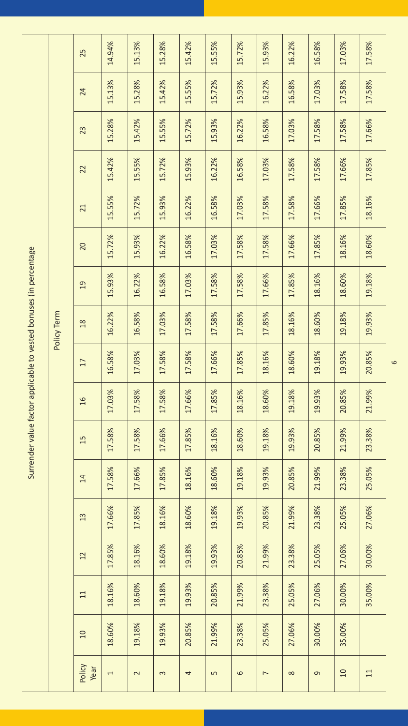|                                                                    |             | 25             | 14.94%         | 15.13%                  | 15.28%   | 15.42% | 15.55%         | 15.72%  | 15.93%         | 16.22%   | 16.58%   | 17.03%   | 17.58% |
|--------------------------------------------------------------------|-------------|----------------|----------------|-------------------------|----------|--------|----------------|---------|----------------|----------|----------|----------|--------|
|                                                                    |             | 24             | 15.13%         | 15.28%                  | 15.42%   | 15.55% | 15.72%         | 15.93%  | 16.22%         | 16.58%   | 17.03%   | 17.58%   | 17.58% |
|                                                                    |             | 23             | 15.28%         | 15.42%                  | 15.55%   | 15.72% | 15.93%         | 16.22%  | 16.58%         | 17.03%   | 17.58%   | 17.58%   | 17.66% |
|                                                                    |             | 22             | 15.42%         | 15.55%                  | 15.72%   | 15.93% | 16.22%         | 16.58%  | 17.03%         | 17.58%   | 17.58%   | 17.66%   | 17.85% |
|                                                                    |             | 21             | 15.55%         | 15.72%                  | 15.93%   | 16.22% | 16.58%         | 17.03%  | 17.58%         | 17.58%   | 17.66%   | 17.85%   | 18.16% |
|                                                                    |             | 20             | 15.72%         | 15.93%                  | 16.22%   | 16.58% | 17.03%         | 17.58%  | 17.58%         | 17.66%   | 17.85%   | 18.16%   | 18.60% |
|                                                                    |             | $\overline{0}$ | 15.93%         | 16.22%                  | 16.58%   | 17.03% | 17.58%         | 17.58%  | 17.66%         | 17.85%   | 18.16%   | 18.60%   | 19.18% |
|                                                                    | Policy Term | 18             | 16.22%         | 16.58%                  | 17.03%   | 17.58% | 17.58%         | 17.66%  | 17.85%         | 18.16%   | 18.60%   | 19.18%   | 19.93% |
|                                                                    |             | 17             | 16.58%         | 17.03%                  | 17.58%   | 17.58% | 17.66%         | 17.85%  | 18.16%         | 18.60%   | 19.18%   | 19.93%   | 20.85% |
|                                                                    |             | $\frac{1}{6}$  | 17.03%         | 17.58%                  | 17.58%   | 17.66% | 17.85%         | 18.16%  | 18.60%         | 19.18%   | 19.93%   | 20.85%   | 21.99% |
| Surrender value factor applicable to vested bonuses (in percentage |             | 15             | 17.58%         | 17.58%                  | 17.66%   | 17.85% | 18.16%         | 18.60%  | 19.18%         | 19.93%   | 20.85%   | 21.99%   | 23.38% |
|                                                                    |             | 14             | 17.58%         | 17.66%                  | 17.85%   | 18.16% | 18.60%         | 19.18%  | 19.93%         | 20.85%   | 21.99%   | 23.38%   | 25.05% |
|                                                                    |             | 13             | 17.66%         | 17.85%                  | 18.16%   | 18.60% | 19.18%         | 19.93%  | 20.85%         | 21.99%   | 23.38%   | 25.05%   | 27.06% |
|                                                                    |             | 12             | 17.85%         | 18.16%                  | 18.60%   | 19.18% | 19.93%         | 20.85%  | 21.99%         | 23.38%   | 25.05%   | 27.06%   | 30.00% |
|                                                                    |             | $\Xi$          | 18.16%         | 18.60%                  | 19.18%   | 19.93% | 20.85%         | 21.99%  | 23.38%         | 25.05%   | 27.06%   | 30.00%   | 35.00% |
|                                                                    |             | 10             | 18.60%         | 19.18%                  | 19.93%   | 20.85% | 21.99%         | 23.38%  | 25.05%         | 27.06%   | 30.00%   | 35.00%   |        |
|                                                                    |             | Policy<br>Year | $\overline{ }$ | $\overline{\mathsf{C}}$ | $\infty$ | 4      | $\overline{5}$ | $\circ$ | $\overline{ }$ | $\infty$ | $\sigma$ | $\Omega$ | 11     |

6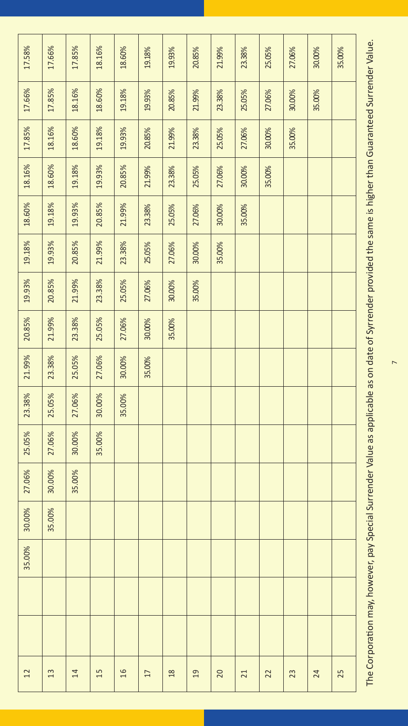| 17.58% | 17.66% | 17.85% | 18.16% | 18.60% | 19.18% | 19.93%        | 20.85%         | 21.99% | 23.38% | 25.05% | 27.06% | 30.00% | 35.00% |
|--------|--------|--------|--------|--------|--------|---------------|----------------|--------|--------|--------|--------|--------|--------|
| 17.66% | 17.85% | 18.16% | 18.60% | 19.18% | 19.93% | 20.85%        | 21.99%         | 23.38% | 25.05% | 27.06% | 30.00% | 35.00% |        |
| 17.85% | 18.16% | 18.60% | 19.18% | 19.93% | 20.85% | 21.99%        | 23.38%         | 25.05% | 27.06% | 30.00% | 35.00% |        |        |
| 18.16% | 18.60% | 19.18% | 19.93% | 20.85% | 21.99% | 23.38%        | 25.05%         | 27.06% | 30.00% | 35.00% |        |        |        |
| 18.60% | 19.18% | 19.93% | 20.85% | 21.99% | 23.38% | 25.05%        | 27.06%         | 30.00% | 35.00% |        |        |        |        |
| 19.18% | 19.93% | 20.85% | 21.99% | 23.38% | 25.05% | 27.06%        | 30.00%         | 35.00% |        |        |        |        |        |
| 19.93% | 20.85% | 21.99% | 23.38% | 25.05% | 27.06% | 30.00%        | 35.00%         |        |        |        |        |        |        |
| 20.85% | 21.99% | 23.38% | 25.05% | 27.06% | 30.00% | 35.00%        |                |        |        |        |        |        |        |
| 21.99% | 23.38% | 25.05% | 27.06% | 30.00% | 35.00% |               |                |        |        |        |        |        |        |
| 23.38% | 25.05% | 27.06% | 30.00% | 35.00% |        |               |                |        |        |        |        |        |        |
| 25.05% | 27.06% | 30.00% | 35.00% |        |        |               |                |        |        |        |        |        |        |
| 27.06% | 30.00% | 35.00% |        |        |        |               |                |        |        |        |        |        |        |
| 30.00% | 35.00% |        |        |        |        |               |                |        |        |        |        |        |        |
| 35.00% |        |        |        |        |        |               |                |        |        |        |        |        |        |
|        |        |        |        |        |        |               |                |        |        |        |        |        |        |
|        |        |        |        |        |        |               |                |        |        |        |        |        |        |
| 12     | 13     | 14     | 15     | 16     | 17     | $\frac{8}{2}$ | $\overline{a}$ | 20     | 21     | 22     | 23     | 24     | 25     |

The Corporation may, however, pay Special Surrender Value as applicable as on date of Syrrender provided the same is higher than Guaranteed Surrender Value. The Corporation may, however, pay Special Surrender Value as applicable as on date of Syrrender provided the same is higher than Guaranteed Surrender Value.

 $\overline{\phantom{0}}$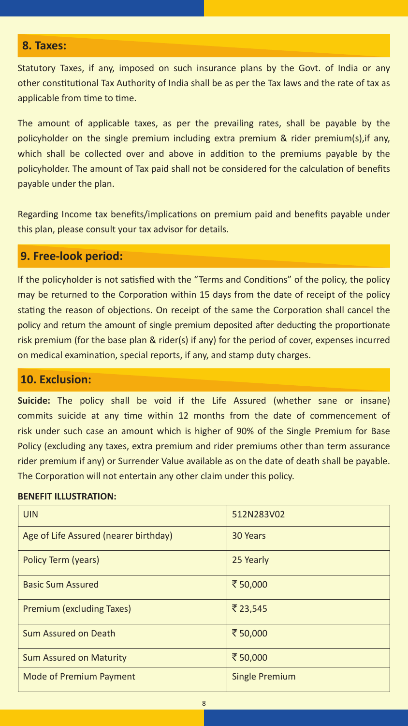## **8. Taxes:**

Statutory Taxes, if any, imposed on such insurance plans by the Govt. of India or any other constitutional Tax Authority of India shall be as per the Tax laws and the rate of tax as applicable from time to time.

The amount of applicable taxes, as per the prevailing rates, shall be payable by the policyholder on the single premium including extra premium & rider premium(s), if any, which shall be collected over and above in addition to the premiums payable by the policyholder. The amount of Tax paid shall not be considered for the calculation of benefits payable under the plan.

Regarding Income tax benefits/implications on premium paid and benefits payable under this plan, please consult your tax advisor for details.

## **9. Free-look period:**

If the policyholder is not satisfied with the "Terms and Conditions" of the policy, the policy may be returned to the Corporation within 15 days from the date of receipt of the policy stating the reason of objections. On receipt of the same the Corporation shall cancel the policy and return the amount of single premium deposited after deducting the proportionate risk premium (for the base plan & rider(s) if any) for the period of cover, expenses incurred on medical examination, special reports, if any, and stamp duty charges.

## **10. Exclusion:**

**Suicide:** The policy shall be void if the Life Assured (whether sane or insane) commits suicide at any time within 12 months from the date of commencement of risk under such case an amount which is higher of 90% of the Single Premium for Base Policy (excluding any taxes, extra premium and rider premiums other than term assurance rider premium if any) or Surrender Value available as on the date of death shall be payable. The Corporation will not entertain any other claim under this policy.

#### **BENEFIT ILLUSTRATION:**

| <b>UIN</b>                            | 512N283V02            |
|---------------------------------------|-----------------------|
| Age of Life Assured (nearer birthday) | 30 Years              |
| Policy Term (years)                   | 25 Yearly             |
| <b>Basic Sum Assured</b>              | ₹ 50,000              |
| Premium (excluding Taxes)             | ₹ 23.545              |
| Sum Assured on Death                  | ₹ 50.000              |
| <b>Sum Assured on Maturity</b>        | ₹ 50,000              |
| <b>Mode of Premium Payment</b>        | <b>Single Premium</b> |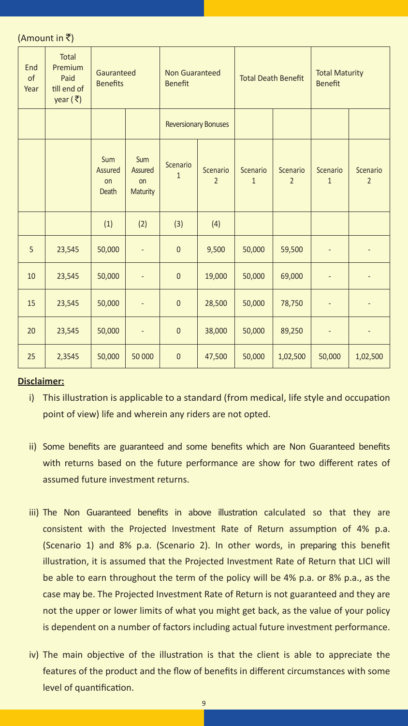(Amount in  $\bar{z}$ )

| End<br>of<br>Year | <b>Total</b><br>Premium<br>Paid<br>till end of<br>year $(\bar{z})$ | Gauranteed<br><b>Benefits</b>        |                                         | <b>Non Guaranteed</b><br><b>Benefit</b>                |        | <b>Total Death Benefit</b> |                            | <b>Total Maturity</b><br><b>Benefit</b> |                            |  |
|-------------------|--------------------------------------------------------------------|--------------------------------------|-----------------------------------------|--------------------------------------------------------|--------|----------------------------|----------------------------|-----------------------------------------|----------------------------|--|
|                   |                                                                    |                                      |                                         | <b>Reversionary Bonuses</b>                            |        |                            |                            |                                         |                            |  |
|                   |                                                                    | <b>Sum</b><br>Assured<br>on<br>Death | <b>Sum</b><br>Assured<br>on<br>Maturity | Scenario<br>Scenario<br>$\mathbf{1}$<br>$\overline{2}$ |        | Scenario<br>$\mathbf{1}$   | Scenario<br>$\overline{2}$ | Scenario<br>$\mathbf{1}$                | Scenario<br>$\overline{2}$ |  |
|                   |                                                                    | (1)                                  | (2)                                     | (3)<br>(4)                                             |        |                            |                            |                                         |                            |  |
| 5                 | 23,545                                                             | 50,000                               | $\overline{a}$                          | $\overline{0}$                                         | 9,500  | 50,000                     | 59,500                     | $\overline{a}$                          | ÷,                         |  |
| 10                | 23,545                                                             | 50,000                               | $\overline{a}$                          | $\overline{0}$                                         | 19,000 | 50,000                     | 69,000                     | -                                       | -                          |  |
| 15                | 23,545                                                             | 50,000                               | L,                                      | $\mathbf 0$                                            | 28,500 | 50,000                     | 78,750                     | L,                                      |                            |  |
| 20                | 23,545                                                             | 50,000                               | Ĭ.                                      | $\overline{0}$                                         | 38,000 | 50,000                     | 89,250                     | -                                       |                            |  |
| 25                | 2,3545                                                             | 50,000                               | 50 000                                  | $\bf 0$                                                | 47,500 | 50,000                     | 1,02,500                   | 50,000                                  | 1,02,500                   |  |

#### **Disclaimer:**

- i) This illustration is applicable to a standard (from medical, life style and occupation point of view) life and wherein any riders are not opted.
- ii) Some benefits are guaranteed and some benefits which are Non Guaranteed benefits with returns based on the future performance are show for two different rates of assumed future investment returns.
- iii) The Non Guaranteed benefits in above illustration calculated so that they are consistent with the Projected Investment Rate of Return assumption of 4% p.a. (Scenario 1) and 8% p.a. (Scenario 2). In other words, in preparing this benefit illustration, it is assumed that the Projected Investment Rate of Return that LICI will be able to earn throughout the term of the policy will be 4% p.a. or 8% p.a., as the case may be. The Projected Investment Rate of Return is not guaranteed and they are not the upper or lower limits of what you might get back, as the value of your policy is dependent on a number of factors including actual future investment performance.
- iv) The main objective of the illustration is that the client is able to appreciate the features of the product and the flow of benefits in different circumstances with some level of quantification.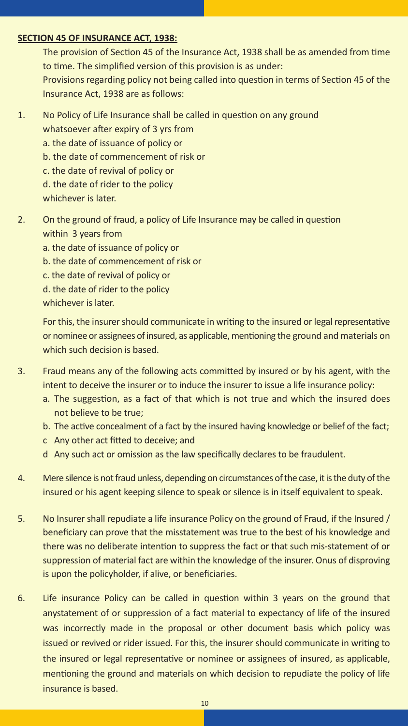#### **SECTION 45 OF INSURANCE ACT, 1938:**

The provision of Section 45 of the Insurance Act, 1938 shall be as amended from time to time. The simplified version of this provision is as under: Provisions regarding policy not being called into question in terms of Section 45 of the Insurance Act, 1938 are as follows:

- 1. No Policy of Life Insurance shall be called in question on any ground whatsoever after expiry of 3 yrs from
	- a. the date of issuance of policy or
	- b. the date of commencement of risk or
	- c. the date of revival of policy or
	- d. the date of rider to the policy

whichever is later.

- 2. On the ground of fraud, a policy of Life Insurance may be called in question within 3 years from
	- a. the date of issuance of policy or
	- b. the date of commencement of risk or
	- c. the date of revival of policy or
	- d. the date of rider to the policy

whichever is later.

For this, the insurer should communicate in writing to the insured or legal representative or nominee or assignees of insured, as applicable, mentioning the ground and materials on which such decision is based.

- 3. Fraud means any of the following acts committed by insured or by his agent, with the intent to deceive the insurer or to induce the insurer to issue a life insurance policy:
	- a. The suggestion, as a fact of that which is not true and which the insured does not believe to be true;
	- b. The active concealment of a fact by the insured having knowledge or belief of the fact;
	- c Any other act fitted to deceive; and
	- d Any such act or omission as the law specifically declares to be fraudulent.
- 4. Mere silence is not fraud unless, depending on circumstances of the case, it is the duty of the insured or his agent keeping silence to speak or silence is in itself equivalent to speak.
- 5. No Insurer shall repudiate a life insurance Policy on the ground of Fraud, if the Insured / beneficiary can prove that the misstatement was true to the best of his knowledge and there was no deliberate intention to suppress the fact or that such mis-statement of or suppression of material fact are within the knowledge of the insurer. Onus of disproving is upon the policyholder, if alive, or beneficiaries.
- 6. Life insurance Policy can be called in question within 3 years on the ground that anystatement of or suppression of a fact material to expectancy of life of the insured was incorrectly made in the proposal or other document basis which policy was issued or revived or rider issued. For this, the insurer should communicate in writing to the insured or legal representative or nominee or assignees of insured, as applicable, mentioning the ground and materials on which decision to repudiate the policy of life insurance is based.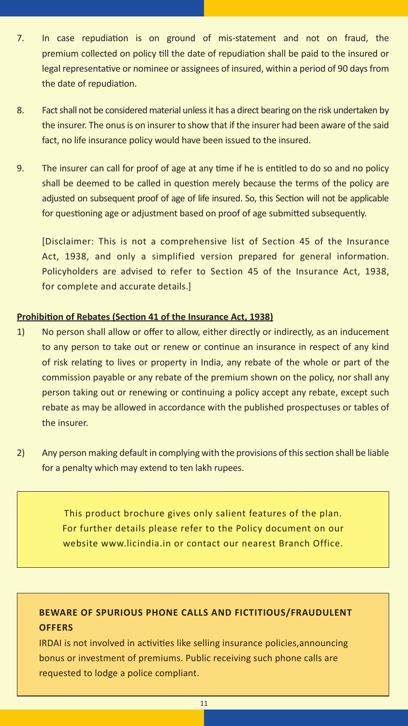- 7. In case repudiation is on ground of mis-statement and not on fraud, the premium collected on policy till the date of repudiation shall be paid to the insured or legal representative or nominee or assignees of insured, within a period of 90 days from the date of repudiation.
- 8. Fact shall not be considered material unless it has a direct bearing on the risk undertaken by the insurer. The onus is on insurer to show that if the insurer had been aware of the said fact, no life insurance policy would have been issued to the insured.
- 9. The insurer can call for proof of age at any time if he is entitled to do so and no policy shall be deemed to be called in question merely because the terms of the policy are adjusted on subsequent proof of age of life insured. So, this Section will not be applicable for questioning age or adjustment based on proof of age submitted subsequently.

[Disclaimer: This is not a comprehensive list of Section 45 of the Insurance Act, 1938, and only a simplified version prepared for general information. Policyholders are advised to refer to Section 45 of the Insurance Act, 1938, for complete and accurate details.]

#### **Prohibition of Rebates (Section 41 of the Insurance Act, 1938)**

- 1) No person shall allow or offer to allow, either directly or indirectly, as an inducement to any person to take out or renew or continue an insurance in respect of any kind of risk relating to lives or property in India, any rebate of the whole or part of the commission payable or any rebate of the premium shown on the policy, nor shall any person taking out or renewing or continuing a policy accept any rebate, except such rebate as may be allowed in accordance with the published prospectuses or tables of the insurer.
- 2) Any person making default in complying with the provisions of this section shall be liable for a penalty which may extend to ten lakh rupees.

This product brochure gives only salient features of the plan. For further details please refer to the Policy document on our website www.licindia.in or contact our nearest Branch Office.

## **BEWARE OF SPURIOUS PHONE CALLS AND FICTITIOUS/FRAUDULENT OFFERS**

IRDAI is not involved in activities like selling insurance policies,announcing bonus or investment of premiums. Public receiving such phone calls are requested to lodge a police compliant.